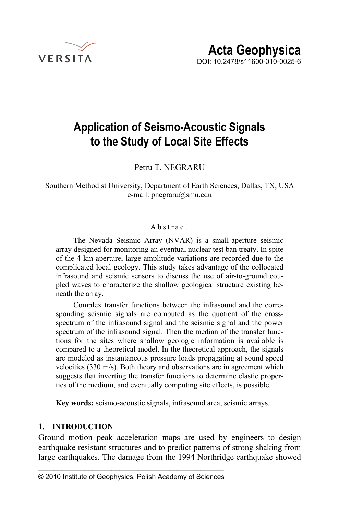

# **Application of Seismo-Acoustic Signals to the Study of Local Site Effects**

Petru T. NEGRARU

Southern Methodist University, Department of Earth Sciences, Dallas, TX, USA e-mail: pnegraru@smu.edu

### Abstract

The Nevada Seismic Array (NVAR) is a small-aperture seismic array designed for monitoring an eventual nuclear test ban treaty. In spite of the 4 km aperture, large amplitude variations are recorded due to the complicated local geology. This study takes advantage of the collocated infrasound and seismic sensors to discuss the use of air-to-ground coupled waves to characterize the shallow geological structure existing beneath the array.

Complex transfer functions between the infrasound and the corresponding seismic signals are computed as the quotient of the crossspectrum of the infrasound signal and the seismic signal and the power spectrum of the infrasound signal. Then the median of the transfer functions for the sites where shallow geologic information is available is compared to a theoretical model. In the theoretical approach, the signals are modeled as instantaneous pressure loads propagating at sound speed velocities (330 m/s). Both theory and observations are in agreement which suggests that inverting the transfer functions to determine elastic properties of the medium, and eventually computing site effects, is possible.

**Key words:** seismo-acoustic signals, infrasound area, seismic arrays.

## **1. INTRODUCTION**

Ground motion peak acceleration maps are used by engineers to design earthquake resistant structures and to predict patterns of strong shaking from large earthquakes. The damage from the 1994 Northridge earthquake showed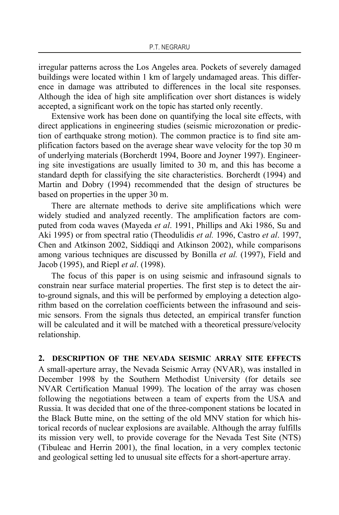irregular patterns across the Los Angeles area. Pockets of severely damaged buildings were located within 1 km of largely undamaged areas. This difference in damage was attributed to differences in the local site responses. Although the idea of high site amplification over short distances is widely accepted, a significant work on the topic has started only recently.

Extensive work has been done on quantifying the local site effects, with direct applications in engineering studies (seismic microzonation or prediction of earthquake strong motion). The common practice is to find site amplification factors based on the average shear wave velocity for the top 30 m of underlying materials (Borcherdt 1994, Boore and Joyner 1997). Engineering site investigations are usually limited to 30 m, and this has become a standard depth for classifying the site characteristics. Borcherdt (1994) and Martin and Dobry (1994) recommended that the design of structures be based on properties in the upper 30 m.

There are alternate methods to derive site amplifications which were widely studied and analyzed recently. The amplification factors are computed from coda waves (Mayeda *et al*. 1991, Phillips and Aki 1986, Su and Aki 1995) or from spectral ratio (Theodulidis *et al.* 1996, Castro *et al*. 1997, Chen and Atkinson 2002, Siddiqqi and Atkinson 2002), while comparisons among various techniques are discussed by Bonilla *et al.* (1997), Field and Jacob (1995), and Riepl *et al*. (1998).

The focus of this paper is on using seismic and infrasound signals to constrain near surface material properties. The first step is to detect the airto-ground signals, and this will be performed by employing a detection algorithm based on the correlation coefficients between the infrasound and seismic sensors. From the signals thus detected, an empirical transfer function will be calculated and it will be matched with a theoretical pressure/velocity relationship.

#### **2. DESCRIPTION OF THE NEVADA SEISMIC ARRAY SITE EFFECTS**

A small-aperture array, the Nevada Seismic Array (NVAR), was installed in December 1998 by the Southern Methodist University (for details see NVAR Certification Manual 1999). The location of the array was chosen following the negotiations between a team of experts from the USA and Russia. It was decided that one of the three-component stations be located in the Black Butte mine, on the setting of the old MNV station for which historical records of nuclear explosions are available. Although the array fulfills its mission very well, to provide coverage for the Nevada Test Site (NTS) (Tibuleac and Herrin 2001), the final location, in a very complex tectonic and geological setting led to unusual site effects for a short-aperture array.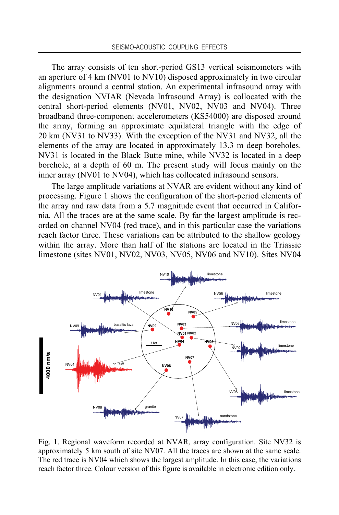The array consists of ten short-period GS13 vertical seismometers with an aperture of 4 km (NV01 to NV10) disposed approximately in two circular alignments around a central station. An experimental infrasound array with the designation NVIAR (Nevada Infrasound Array) is collocated with the central short-period elements (NV01, NV02, NV03 and NV04). Three broadband three-component accelerometers (KS54000) are disposed around the array, forming an approximate equilateral triangle with the edge of 20 km (NV31 to NV33). With the exception of the NV31 and NV32, all the elements of the array are located in approximately 13.3 m deep boreholes. NV31 is located in the Black Butte mine, while NV32 is located in a deep borehole, at a depth of 60 m. The present study will focus mainly on the inner array (NV01 to NV04), which has collocated infrasound sensors.

The large amplitude variations at NVAR are evident without any kind of processing. Figure 1 shows the configuration of the short-period elements of the array and raw data from a 5.7 magnitude event that occurred in California. All the traces are at the same scale. By far the largest amplitude is recorded on channel NV04 (red trace), and in this particular case the variations reach factor three. These variations can be attributed to the shallow geology within the array. More than half of the stations are located in the Triassic limestone (sites NV01, NV02, NV03, NV05, NV06 and NV10). Sites NV04



Fig. 1. Regional waveform recorded at NVAR, array configuration. Site NV32 is approximately 5 km south of site NV07. All the traces are shown at the same scale. The red trace is NV04 which shows the largest amplitude. In this case, the variations reach factor three. Colour version of this figure is available in electronic edition only.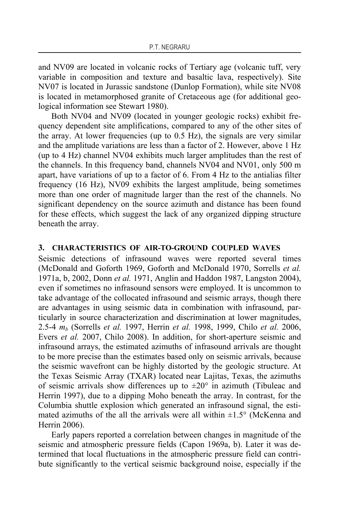and NV09 are located in volcanic rocks of Tertiary age (volcanic tuff, very variable in composition and texture and basaltic lava, respectively). Site NV07 is located in Jurassic sandstone (Dunlop Formation), while site NV08 is located in metamorphosed granite of Cretaceous age (for additional geological information see Stewart 1980).

Both NV04 and NV09 (located in younger geologic rocks) exhibit frequency dependent site amplifications, compared to any of the other sites of the array. At lower frequencies (up to 0.5 Hz), the signals are very similar and the amplitude variations are less than a factor of 2. However, above 1 Hz (up to 4 Hz) channel NV04 exhibits much larger amplitudes than the rest of the channels. In this frequency band, channels NV04 and NV01, only 500 m apart, have variations of up to a factor of 6. From 4 Hz to the antialias filter frequency (16 Hz), NV09 exhibits the largest amplitude, being sometimes more than one order of magnitude larger than the rest of the channels. No significant dependency on the source azimuth and distance has been found for these effects, which suggest the lack of any organized dipping structure beneath the array.

#### **3. CHARACTERISTICS OF AIR-TO-GROUND COUPLED WAVES**

Seismic detections of infrasound waves were reported several times (McDonald and Goforth 1969, Goforth and McDonald 1970, Sorrells *et al.* 1971a, b, 2002, Donn *et al.* 1971, Anglin and Haddon 1987, Langston 2004), even if sometimes no infrasound sensors were employed. It is uncommon to take advantage of the collocated infrasound and seismic arrays, though there are advantages in using seismic data in combination with infrasound, particularly in source characterization and discrimination at lower magnitudes, 2.5-4 *mb* (Sorrells *et al.* 1997, Herrin *et al.* 1998, 1999, Chilo *et al.* 2006, Evers *et al.* 2007, Chilo 2008). In addition, for short-aperture seismic and infrasound arrays, the estimated azimuths of infrasound arrivals are thought to be more precise than the estimates based only on seismic arrivals, because the seismic wavefront can be highly distorted by the geologic structure. At the Texas Seismic Array (TXAR) located near Lajitas, Texas, the azimuths of seismic arrivals show differences up to  $\pm 20^{\circ}$  in azimuth (Tibuleac and Herrin 1997), due to a dipping Moho beneath the array. In contrast, for the Columbia shuttle explosion which generated an infrasound signal, the estimated azimuths of the all the arrivals were all within  $\pm 1.5^{\circ}$  (McKenna and Herrin 2006).

Early papers reported a correlation between changes in magnitude of the seismic and atmospheric pressure fields (Capon 1969a, b). Later it was determined that local fluctuations in the atmospheric pressure field can contribute significantly to the vertical seismic background noise, especially if the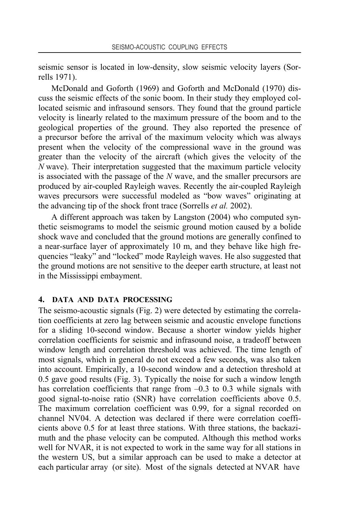seismic sensor is located in low-density, slow seismic velocity layers (Sorrells 1971).

McDonald and Goforth (1969) and Goforth and McDonald (1970) discuss the seismic effects of the sonic boom. In their study they employed collocated seismic and infrasound sensors. They found that the ground particle velocity is linearly related to the maximum pressure of the boom and to the geological properties of the ground. They also reported the presence of a precursor before the arrival of the maximum velocity which was always present when the velocity of the compressional wave in the ground was greater than the velocity of the aircraft (which gives the velocity of the *N* wave). Their interpretation suggested that the maximum particle velocity is associated with the passage of the *N* wave, and the smaller precursors are produced by air-coupled Rayleigh waves. Recently the air-coupled Rayleigh waves precursors were successful modeled as "bow waves" originating at the advancing tip of the shock front trace (Sorrells *et al.* 2002).

A different approach was taken by Langston (2004) who computed synthetic seismograms to model the seismic ground motion caused by a bolide shock wave and concluded that the ground motions are generally confined to a near-surface layer of approximately 10 m, and they behave like high frequencies "leaky" and "locked" mode Rayleigh waves. He also suggested that the ground motions are not sensitive to the deeper earth structure, at least not in the Mississippi embayment.

## **4. DATA AND DATA PROCESSING**

The seismo-acoustic signals (Fig. 2) were detected by estimating the correlation coefficients at zero lag between seismic and acoustic envelope functions for a sliding 10-second window. Because a shorter window yields higher correlation coefficients for seismic and infrasound noise, a tradeoff between window length and correlation threshold was achieved. The time length of most signals, which in general do not exceed a few seconds, was also taken into account. Empirically, a 10-second window and a detection threshold at 0.5 gave good results (Fig. 3). Typically the noise for such a window length has correlation coefficients that range from  $-0.3$  to 0.3 while signals with good signal-to-noise ratio (SNR) have correlation coefficients above 0.5. The maximum correlation coefficient was 0.99, for a signal recorded on channel NV04. A detection was declared if there were correlation coefficients above 0.5 for at least three stations. With three stations, the backazimuth and the phase velocity can be computed. Although this method works well for NVAR, it is not expected to work in the same way for all stations in the western US, but a similar approach can be used to make a detector at each particular array (or site). Most of the signals detected at NVAR have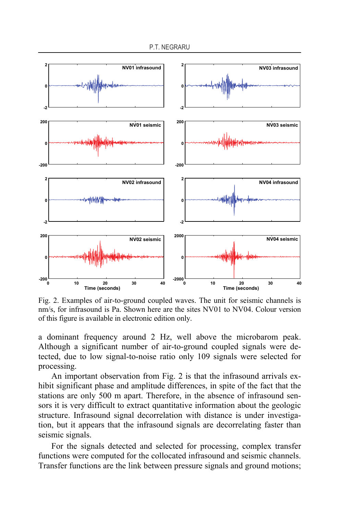

Fig. 2. Examples of air-to-ground coupled waves. The unit for seismic channels is nm/s, for infrasound is Pa. Shown here are the sites NV01 to NV04. Colour version of this figure is available in electronic edition only.

a dominant frequency around 2 Hz, well above the microbarom peak. Although a significant number of air-to-ground coupled signals were detected, due to low signal-to-noise ratio only 109 signals were selected for processing.

An important observation from Fig. 2 is that the infrasound arrivals exhibit significant phase and amplitude differences, in spite of the fact that the stations are only 500 m apart. Therefore, in the absence of infrasound sensors it is very difficult to extract quantitative information about the geologic structure. Infrasound signal decorrelation with distance is under investigation, but it appears that the infrasound signals are decorrelating faster than seismic signals.

For the signals detected and selected for processing, complex transfer functions were computed for the collocated infrasound and seismic channels. Transfer functions are the link between pressure signals and ground motions;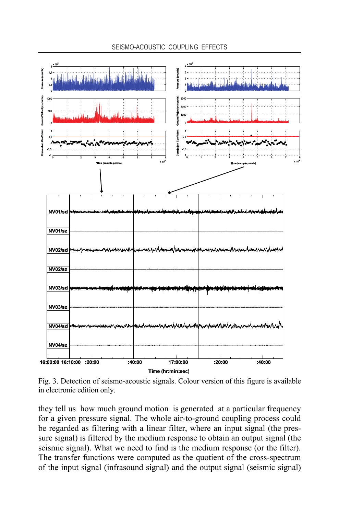

Fig. 3. Detection of seismo-acoustic signals. Colour version of this figure is available in electronic edition only.

they tell us how much ground motion is generated at a particular frequency for a given pressure signal. The whole air-to-ground coupling process could be regarded as filtering with a linear filter, where an input signal (the pressure signal) is filtered by the medium response to obtain an output signal (the seismic signal). What we need to find is the medium response (or the filter). The transfer functions were computed as the quotient of the cross-spectrum of the input signal (infrasound signal) and the output signal (seismic signal)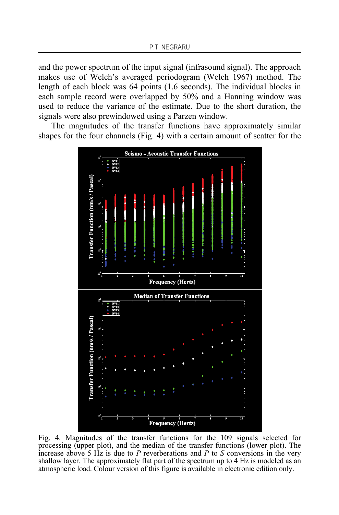and the power spectrum of the input signal (infrasound signal). The approach makes use of Welch's averaged periodogram (Welch 1967) method. The length of each block was 64 points (1.6 seconds). The individual blocks in each sample record were overlapped by 50% and a Hanning window was used to reduce the variance of the estimate. Due to the short duration, the signals were also prewindowed using a Parzen window.

The magnitudes of the transfer functions have approximately similar shapes for the four channels (Fig. 4) with a certain amount of scatter for the



Fig. 4. Magnitudes of the transfer functions for the 109 signals selected for processing (upper plot), and the median of the transfer functions (lower plot). The increase above 5 Hz is due to *P* reverberations and *P* to *S* conversions in the very shallow layer. The approximately flat part of the spectrum up to 4 Hz is modeled as an atmospheric load. Colour version of this figure is available in electronic edition only.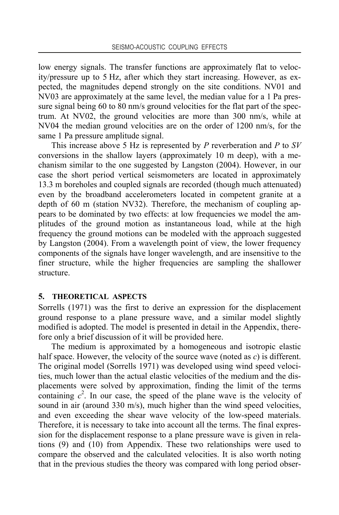low energy signals. The transfer functions are approximately flat to velocity/pressure up to 5 Hz, after which they start increasing. However, as expected, the magnitudes depend strongly on the site conditions. NV01 and NV03 are approximately at the same level, the median value for a 1 Pa pressure signal being 60 to 80 nm/s ground velocities for the flat part of the spectrum. At NV02, the ground velocities are more than 300 nm/s, while at NV04 the median ground velocities are on the order of 1200 nm/s, for the same 1 Pa pressure amplitude signal.

This increase above 5 Hz is represented by *P* reverberation and *P* to *SV* conversions in the shallow layers (approximately 10 m deep), with a mechanism similar to the one suggested by Langston (2004). However, in our case the short period vertical seismometers are located in approximately 13.3 m boreholes and coupled signals are recorded (though much attenuated) even by the broadband accelerometers located in competent granite at a depth of 60 m (station NV32). Therefore, the mechanism of coupling appears to be dominated by two effects: at low frequencies we model the amplitudes of the ground motion as instantaneous load, while at the high frequency the ground motions can be modeled with the approach suggested by Langston (2004). From a wavelength point of view, the lower frequency components of the signals have longer wavelength, and are insensitive to the finer structure, while the higher frequencies are sampling the shallower structure.

#### **5. THEORETICAL ASPECTS**

Sorrells (1971) was the first to derive an expression for the displacement ground response to a plane pressure wave, and a similar model slightly modified is adopted. The model is presented in detail in the Appendix, therefore only a brief discussion of it will be provided here.

The medium is approximated by a homogeneous and isotropic elastic half space. However, the velocity of the source wave (noted as *c*) is different. The original model (Sorrells 1971) was developed using wind speed velocities, much lower than the actual elastic velocities of the medium and the displacements were solved by approximation, finding the limit of the terms containing  $c^2$ . In our case, the speed of the plane wave is the velocity of sound in air (around 330 m/s), much higher than the wind speed velocities, and even exceeding the shear wave velocity of the low-speed materials. Therefore, it is necessary to take into account all the terms. The final expression for the displacement response to a plane pressure wave is given in relations (9) and (10) from Appendix. These two relationships were used to compare the observed and the calculated velocities. It is also worth noting that in the previous studies the theory was compared with long period obser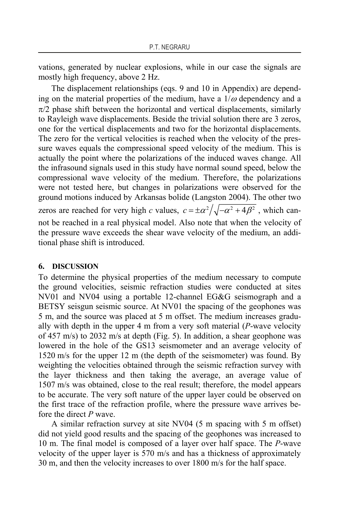vations, generated by nuclear explosions, while in our case the signals are mostly high frequency, above 2 Hz.

The displacement relationships (eqs. 9 and 10 in Appendix) are depending on the material properties of the medium, have a  $1/\omega$  dependency and a  $\pi/2$  phase shift between the horizontal and vertical displacements, similarly to Rayleigh wave displacements. Beside the trivial solution there are 3 zeros, one for the vertical displacements and two for the horizontal displacements. The zero for the vertical velocities is reached when the velocity of the pressure waves equals the compressional speed velocity of the medium. This is actually the point where the polarizations of the induced waves change. All the infrasound signals used in this study have normal sound speed, below the compressional wave velocity of the medium. Therefore, the polarizations were not tested here, but changes in polarizations were observed for the ground motions induced by Arkansas bolide (Langston 2004). The other two zeros are reached for very high *c* values,  $c = \pm \alpha^2 / \sqrt{-\alpha^2 + 4\beta^2}$ , which cannot be reached in a real physical model. Also note that when the velocity of the pressure wave exceeds the shear wave velocity of the medium, an additional phase shift is introduced.

#### **6. DISCUSSION**

To determine the physical properties of the medium necessary to compute the ground velocities, seismic refraction studies were conducted at sites NV01 and NV04 using a portable 12-channel EG&G seismograph and a BETSY seisgun seismic source. At NV01 the spacing of the geophones was 5 m, and the source was placed at 5 m offset. The medium increases gradually with depth in the upper 4 m from a very soft material (*P*-wave velocity of 457 m/s) to 2032 m/s at depth (Fig. 5). In addition, a shear geophone was lowered in the hole of the GS13 seismometer and an average velocity of 1520 m/s for the upper 12 m (the depth of the seismometer) was found. By weighting the velocities obtained through the seismic refraction survey with the layer thickness and then taking the average, an average value of 1507 m/s was obtained, close to the real result; therefore, the model appears to be accurate. The very soft nature of the upper layer could be observed on the first trace of the refraction profile, where the pressure wave arrives before the direct *P* wave.

A similar refraction survey at site NV04 (5 m spacing with 5 m offset) did not yield good results and the spacing of the geophones was increased to 10 m. The final model is composed of a layer over half space. The *P*-wave velocity of the upper layer is 570 m/s and has a thickness of approximately 30 m, and then the velocity increases to over 1800 m/s for the half space.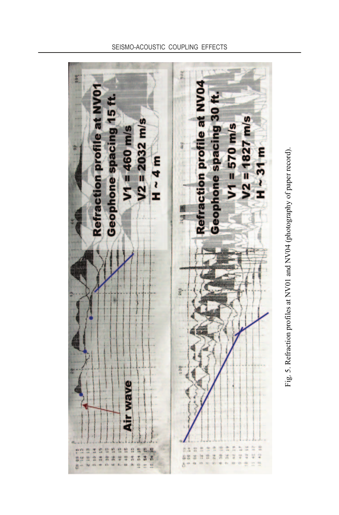



#### SEISMO-ACOUSTIC COUPLING EFFECTS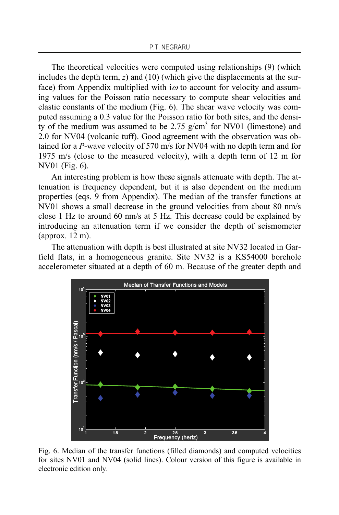The theoretical velocities were computed using relationships (9) (which includes the depth term, *z*) and (10) (which give the displacements at the surface) from Appendix multiplied with  $\alpha$  to account for velocity and assuming values for the Poisson ratio necessary to compute shear velocities and elastic constants of the medium (Fig. 6). The shear wave velocity was computed assuming a 0.3 value for the Poisson ratio for both sites, and the density of the medium was assumed to be 2.75  $g/cm<sup>3</sup>$  for NV01 (limestone) and 2.0 for NV04 (volcanic tuff). Good agreement with the observation was obtained for a *P*-wave velocity of 570 m/s for NV04 with no depth term and for 1975 m/s (close to the measured velocity), with a depth term of 12 m for NV01 (Fig. 6).

An interesting problem is how these signals attenuate with depth. The attenuation is frequency dependent, but it is also dependent on the medium properties (eqs. 9 from Appendix). The median of the transfer functions at NV01 shows a small decrease in the ground velocities from about 80 nm/s close 1 Hz to around 60 nm/s at 5 Hz. This decrease could be explained by introducing an attenuation term if we consider the depth of seismometer (approx. 12 m).

The attenuation with depth is best illustrated at site NV32 located in Garfield flats, in a homogeneous granite. Site NV32 is a KS54000 borehole accelerometer situated at a depth of 60 m. Because of the greater depth and



Fig. 6. Median of the transfer functions (filled diamonds) and computed velocities for sites NV01 and NV04 (solid lines). Colour version of this figure is available in electronic edition only.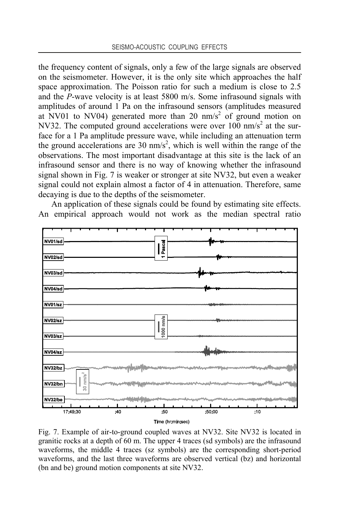the frequency content of signals, only a few of the large signals are observed on the seismometer. However, it is the only site which approaches the half space approximation. The Poisson ratio for such a medium is close to 2.5 and the *P*-wave velocity is at least 5800 m/s. Some infrasound signals with amplitudes of around 1 Pa on the infrasound sensors (amplitudes measured at NV01 to NV04) generated more than 20  $nm/s<sup>2</sup>$  of ground motion on NV32. The computed ground accelerations were over  $100 \text{ nm/s}^2$  at the surface for a 1 Pa amplitude pressure wave, while including an attenuation term the ground accelerations are 30  $\text{nm/s}^2$ , which is well within the range of the observations. The most important disadvantage at this site is the lack of an infrasound sensor and there is no way of knowing whether the infrasound signal shown in Fig. 7 is weaker or stronger at site NV32, but even a weaker signal could not explain almost a factor of 4 in attenuation. Therefore, same decaying is due to the depths of the seismometer.

An application of these signals could be found by estimating site effects. An empirical approach would not work as the median spectral ratio



Fig. 7. Example of air-to-ground coupled waves at NV32. Site NV32 is located in granitic rocks at a depth of 60 m. The upper 4 traces (sd symbols) are the infrasound waveforms, the middle 4 traces (sz symbols) are the corresponding short-period waveforms, and the last three waveforms are observed vertical (bz) and horizontal (bn and be) ground motion components at site NV32.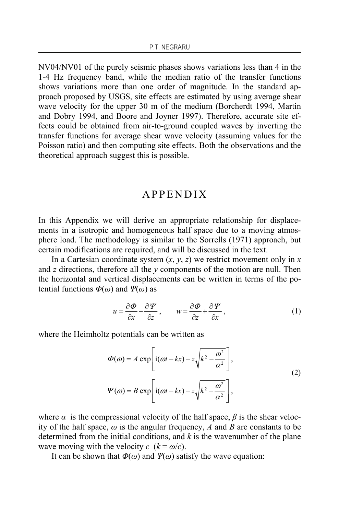NV04/NV01 of the purely seismic phases shows variations less than 4 in the 1-4 Hz frequency band, while the median ratio of the transfer functions shows variations more than one order of magnitude. In the standard approach proposed by USGS, site effects are estimated by using average shear wave velocity for the upper 30 m of the medium (Borcherdt 1994, Martin and Dobry 1994, and Boore and Joyner 1997). Therefore, accurate site effects could be obtained from air-to-ground coupled waves by inverting the transfer functions for average shear wave velocity (assuming values for the Poisson ratio) and then computing site effects. Both the observations and the theoretical approach suggest this is possible.

## APPENDIX

In this Appendix we will derive an appropriate relationship for displacements in a isotropic and homogeneous half space due to a moving atmosphere load. The methodology is similar to the Sorrells (1971) approach, but certain modifications are required, and will be discussed in the text.

In a Cartesian coordinate system  $(x, y, z)$  we restrict movement only in  $x$ and *z* directions, therefore all the *y* components of the motion are null. Then the horizontal and vertical displacements can be written in terms of the potential functions *Φ*(*ω*) and *Ψ*(*ω*) as

$$
u = \frac{\partial \Phi}{\partial x} - \frac{\partial \Psi}{\partial z}, \qquad w = \frac{\partial \Phi}{\partial z} + \frac{\partial \Psi}{\partial x}, \tag{1}
$$

where the Heimholtz potentials can be written as

$$
\Phi(\omega) = A \exp\left[i(\omega t - kx) - z\sqrt{k^2 - \frac{\omega^2}{\alpha^2}}\right],
$$
  
\n
$$
\Psi(\omega) = B \exp\left[i(\omega t - kx) - z\sqrt{k^2 - \frac{\omega^2}{\alpha^2}}\right],
$$
\n(2)

where  $\alpha$  is the compressional velocity of the half space,  $\beta$  is the shear velocity of the half space, *ω* is the angular frequency, *A* and *B* are constants to be determined from the initial conditions, and *k* is the wavenumber of the plane wave moving with the velocity  $c (k = \omega/c)$ .

It can be shown that  $\Phi(\omega)$  and  $\Psi(\omega)$  satisfy the wave equation: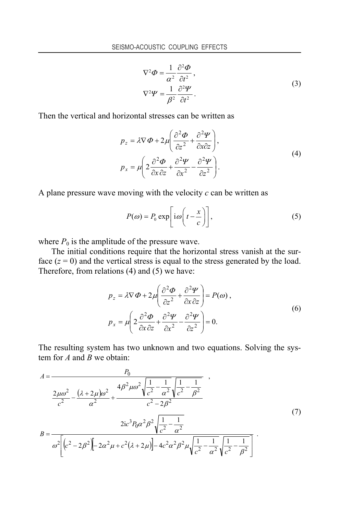$$
\nabla^2 \Phi = \frac{1}{\alpha^2} \frac{\partial^2 \Phi}{\partial t^2},
$$
  

$$
\nabla^2 \Psi = \frac{1}{\beta^2} \frac{\partial^2 \Psi}{\partial t^2}.
$$
 (3)

Then the vertical and horizontal stresses can be written as

$$
p_z = \lambda \nabla \Phi + 2\mu \left( \frac{\partial^2 \Phi}{\partial z^2} + \frac{\partial^2 \Psi}{\partial x \partial z} \right),
$$
  
\n
$$
p_x = \mu \left( 2 \frac{\partial^2 \Phi}{\partial x \partial z} + \frac{\partial^2 \Psi}{\partial x^2} - \frac{\partial^2 \Psi}{\partial z^2} \right).
$$
\n(4)

A plane pressure wave moving with the velocity *c* can be written as

$$
P(\omega) = P_0 \exp\left[i\omega\left(t - \frac{x}{c}\right)\right],\tag{5}
$$

where  $P_0$  is the amplitude of the pressure wave.

The initial conditions require that the horizontal stress vanish at the surface  $(z = 0)$  and the vertical stress is equal to the stress generated by the load. Therefore, from relations (4) and (5) we have:

$$
p_z = \lambda \nabla \Phi + 2\mu \left( \frac{\partial^2 \Phi}{\partial z^2} + \frac{\partial^2 \Psi}{\partial x \partial z} \right) = P(\omega) ,
$$
  
\n
$$
p_x = \mu \left( 2 \frac{\partial^2 \Phi}{\partial x \partial z} + \frac{\partial^2 \Psi}{\partial x^2} - \frac{\partial^2 \Psi}{\partial z^2} \right) = 0.
$$
 (6)

The resulting system has two unknown and two equations. Solving the system for *A* and *B* we obtain:

$$
A = \frac{P_0}{\frac{2\mu\omega^2}{c^2} - \frac{(\lambda + 2\mu)\omega^2}{\alpha^2} + \frac{4\beta^2\mu\omega^2\sqrt{\frac{1}{c^2} - \frac{1}{\alpha^2}}\sqrt{\frac{1}{c^2} - \frac{1}{\beta^2}}}{c^2 - 2\beta^2}}
$$
\n
$$
B = \frac{2ic^3P_0\alpha^2\beta^2\sqrt{\frac{1}{c^2} - \frac{1}{\alpha^2}}}{\omega^2\left[(c^2 - 2\beta^2)\right] - 2\alpha^2\mu + c^2(\lambda + 2\mu)\right] - 4c^2\alpha^2\beta^2\mu\sqrt{\frac{1}{c^2} - \frac{1}{\alpha^2}}\sqrt{\frac{1}{c^2} - \frac{1}{\beta^2}}}
$$
\n(7)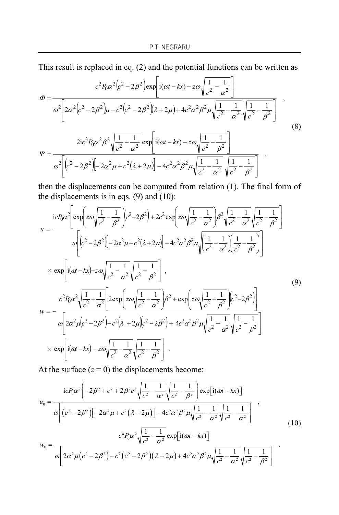This result is replaced in eq. (2) and the potential functions can be written as

$$
\Phi = \frac{c^2 P_0 \alpha^2 (c^2 - 2\beta^2) \exp\left[ i(\omega t - kx) - z\omega \sqrt{\frac{1}{c^2} - \frac{1}{\alpha^2}} \right]}{\omega^2 \left[ 2\alpha^2 (c^2 - 2\beta^2) \mu - c^2 (c^2 - 2\beta^2) \lambda + 2\mu \right] + 4c^2 \alpha^2 \beta^2 \mu \sqrt{\frac{1}{c^2} - \frac{1}{\alpha^2}} \sqrt{\frac{1}{c^2} - \frac{1}{\beta^2}} \right] ,
$$
\n
$$
\Psi = \frac{2ic^3 P_0 \alpha^2 \beta^2 \sqrt{\frac{1}{c^2} - \frac{1}{\alpha^2}} \exp\left[ i(\omega t - kx) - z\omega \sqrt{\frac{1}{c^2} - \frac{1}{\beta^2}} \right]}{\omega^2 \left[ (c^2 - 2\beta^2) \left[ -2\alpha^2 \mu + c^2 (\lambda + 2\mu) \right] - 4c^2 \alpha^2 \beta^2 \mu \sqrt{\frac{1}{c^2} - \frac{1}{\alpha^2}} \sqrt{\frac{1}{c^2} - \frac{1}{\beta^2}} \right] } ,
$$
\n(8)

then the displacements can be computed from relation (1). The final form of the displacements is in eqs.  $(9)$  and  $(10)$ :

$$
u = \frac{icP_0\alpha^2 \left[\exp\left(z\omega\sqrt{\frac{1}{c^2} - \frac{1}{\beta^2}}\right)(c^2 - 2\beta^2) + 2c^2 \exp\left(z\omega\sqrt{\frac{1}{c^2} - \frac{1}{\alpha^2}}\beta^2\sqrt{\frac{1}{c^2} - \frac{1}{\alpha^2}}\sqrt{\frac{1}{c^2} - \frac{1}{\beta^2}}\right)\right]}{\omega\left[(c^2 - 2\beta^2)\left[-2\alpha^2\mu + c^2(\lambda + 2\mu)\right] - 4c^2\alpha^2\beta^2\mu\sqrt{\frac{1}{c^2} - \frac{1}{\alpha^2}}\sqrt{\frac{1}{c^2} - \frac{1}{\beta^2}}\right]}\right]}\times \exp\left[i(\omega t - kx) - z\omega\sqrt{\frac{1}{c^2} - \frac{1}{\alpha^2}}\sqrt{\frac{1}{c^2} - \frac{1}{\beta^2}}\right],
$$
\n
$$
w = -\frac{c^2P_0\alpha^2\sqrt{\frac{1}{c^2} - \frac{1}{\alpha^2}}\left[2\exp\left(z\omega\sqrt{\frac{1}{c^2} - \frac{1}{\alpha^2}}\beta^2 + \exp\left(z\omega\sqrt{\frac{1}{c^2} - \frac{1}{\beta^2}}\right)(c^2 - 2\beta^2)\right]}{\omega\left[2\alpha^2\mu(c^2 - 2\beta^2) - c^2(\lambda + 2\mu)(c^2 - 2\beta^2) + 4c^2\alpha^2\beta^2\mu\sqrt{\frac{1}{c^2} - \frac{1}{\alpha^2}}\sqrt{\frac{1}{c^2} - \frac{1}{\beta^2}}\right]}
$$
\n
$$
\times \exp\left[i(\omega t - kx) - z\omega\sqrt{\frac{1}{c^2} - \frac{1}{\alpha^2}}\sqrt{\frac{1}{c^2} - \frac{1}{\beta^2}}\right].
$$
\n(9)

At the surface  $(z = 0)$  the displacements become:

$$
u_0 = \frac{icP_0\alpha^2 \left(-2\beta^2 + c^2 + 2\beta^2 c^2 \sqrt{\frac{1}{c^2} - \frac{1}{\alpha^2}} \sqrt{\frac{1}{c^2} - \frac{1}{\beta^2}} \right) \exp[i(\omega t - kx)]}{\omega \left[ (c^2 - 2\beta^2) \left[ -2\alpha^2 \mu + c^2 (\lambda + 2\mu) \right] - 4c^2 \alpha^2 \beta^2 \mu \sqrt{\frac{1}{c^2} - \frac{1}{\alpha^2}} \sqrt{\frac{1}{c^2} - \frac{1}{\alpha^2}} \right]},
$$
  
\n
$$
w_0 = \frac{c^4 P_0 \alpha^2 \sqrt{\frac{1}{c^2} - \frac{1}{\alpha^2}} \exp[i(\omega t - kx)]}{\omega \left[ 2\alpha^2 \mu (c^2 - 2\beta^2) - c^2 (c^2 - 2\beta^2) (\lambda + 2\mu) + 4c^2 \alpha^2 \beta^2 \mu \sqrt{\frac{1}{c^2} - \frac{1}{\alpha^2}} \sqrt{\frac{1}{c^2} - \frac{1}{\beta^2}} \right]}.
$$
\n(10)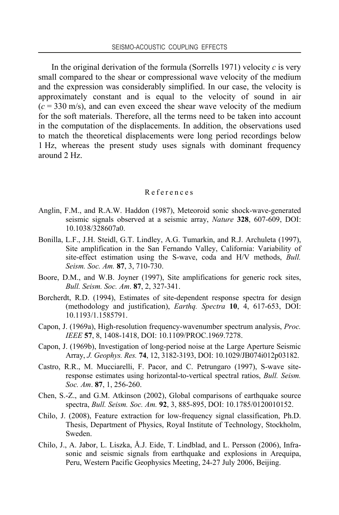In the original derivation of the formula (Sorrells 1971) velocity *c* is very small compared to the shear or compressional wave velocity of the medium and the expression was considerably simplified. In our case, the velocity is approximately constant and is equal to the velocity of sound in air  $(c = 330 \text{ m/s})$ , and can even exceed the shear wave velocity of the medium for the soft materials. Therefore, all the terms need to be taken into account in the computation of the displacements. In addition, the observations used to match the theoretical displacements were long period recordings below 1 Hz, whereas the present study uses signals with dominant frequency around 2 Hz.

#### References

- Anglin, F.M., and R.A.W. Haddon (1987), Meteoroid sonic shock-wave-generated seismic signals observed at a seismic array, *Nature* **328**, 607-609, DOI: 10.1038/328607a0.
- Bonilla, L.F., J.H. Steidl, G.T. Lindley, A.G. Tumarkin, and R.J. Archuleta (1997), Site amplification in the San Fernando Valley, California: Variability of site-effect estimation using the S-wave, coda and H/V methods, *Bull. Seism. Soc. Am.* **87**, 3, 710-730.
- Boore, D.M., and W.B. Joyner (1997), Site amplifications for generic rock sites, *Bull. Seism. Soc. Am*. **87**, 2, 327-341.
- Borcherdt, R.D. (1994), Estimates of site-dependent response spectra for design (methodology and justification), *Earthq. Spectra* **10**, 4, 617-653, DOI: 10.1193/1.1585791.
- Capon, J. (1969a), High-resolution frequency-wavenumber spectrum analysis, *Proc. IEEE* **57**, 8, 1408-1418, DOI: 10.1109/PROC.1969.7278.
- Capon, J. (1969b), Investigation of long-period noise at the Large Aperture Seismic Array, *J. Geophys. Res.* **74**, 12, 3182-3193, DOI: 10.1029/JB074i012p03182.
- Castro, R.R., M. Mucciarelli, F. Pacor, and C. Petrungaro (1997), S-wave siteresponse estimates using horizontal-to-vertical spectral ratios, *Bull. Seism. Soc. Am*. **87**, 1, 256-260.
- Chen, S.-Z., and G.M. Atkinson (2002), Global comparisons of earthquake source spectra, *Bull. Seism. Soc. Am.* **92**, 3, 885-895, DOI: 10.1785/0120010152.
- Chilo, J. (2008), Feature extraction for low-frequency signal classification, Ph.D. Thesis, Department of Physics, Royal Institute of Technology, Stockholm, Sweden.
- Chilo, J., A. Jabor, L. Liszka, Å.J. Eide, T. Lindblad, and L. Persson (2006), Infrasonic and seismic signals from earthquake and explosions in Arequipa, Peru, Western Pacific Geophysics Meeting, 24-27 July 2006, Beijing.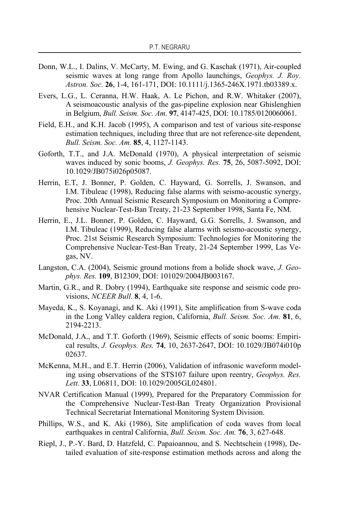- Donn, W.L., I. Dalins, V. McCarty, M. Ewing, and G. Kaschak (1971), Air-coupled seismic waves at long range from Apollo launchings, *Geophys. J. Roy. Astron. Soc.* **26**, 1-4, 161-171, DOI: 10.1111/j.1365-246X.1971.tb03389.x.
- Evers, L.G., L. Ceranna, H.W. Haak, A. Le Pichon, and R.W. Whitaker (2007), A seismoacoustic analysis of the gas-pipeline explosion near Ghislenghien in Belgium, *Bull. Seism. Soc. Am.* **97**, 4147-425, DOI: 10.1785/0120060061.
- Field, E.H., and K.H. Jacob (1995), A comparison and test of various site-response estimation techniques, including three that are not reference-site dependent, *Bull. Seism. Soc. Am.* **85**, 4, 1127-1143.
- Goforth, T.T., and J.A. McDonald (1970), A physical interpretation of seismic waves induced by sonic booms, *J. Geophys. Res.* **75**, 26, 5087-5092, DOI: 10.1029/JB075i026p05087.
- Herrin, E.T, J. Bonner, P. Golden, C. Hayward, G. Sorrells, J. Swanson, and I.M. Tibuleac (1998), Reducing false alarms with seismo-acoustic synergy, Proc. 20th Annual Seismic Research Symposium on Monitoring a Comprehensive Nuclear-Test-Ban Treaty, 21-23 September 1998, Santa Fe, NM.
- Herrin, E., J.L. Bonner, P. Golden, C. Hayward, G.G. Sorrells, J. Swanson, and I.M. Tibuleac (1999), Reducing false alarms with seismo-acoustic synergy, Proc. 21st Seismic Research Symposium: Technologies for Monitoring the Comprehensive Nuclear-Test-Ban Treaty, 21-24 September 1999, Las Vegas, NV.
- Langston, C.A. (2004), Seismic ground motions from a bolide shock wave, *J. Geophys. Res.* **109**, B12309, DOI: 101029/2004JB003167.
- Martin, G.R., and R. Dobry (1994), Earthquake site response and seismic code provisions, *NCEER Bull.* **8**, 4, 1-6.
- Mayeda, K., S. Koyanagi, and K. Aki (1991), Site amplification from S-wave coda in the Long Valley caldera region, California, *Bull. Seism. Soc. Am*. **81**, 6, 2194-2213.
- McDonald, J.A., and T.T. Goforth (1969), Seismic effects of sonic booms: Empirical results, *J. Geophys. Res.* **74**, 10, 2637-2647, DOI: 10.1029/JB074i010p 02637.
- McKenna, M.H., and E.T. Herrin (2006), Validation of infrasonic waveform modeling using observations of the STS107 failure upon reentry, *Geophys. Res. Lett*. **33**, L06811, DOI: 10.1029/2005GL024801.
- NVAR Certification Manual (1999), Prepared for the Preparatory Commission for the Comprehensive Nuclear-Test-Ban Treaty Organization Provisional Technical Secretariat International Monitoring System Division.
- Phillips, W.S., and K. Aki (1986), Site amplification of coda waves from local earthquakes in central California, *Bull. Seism. Soc. Am.* **76**, 3, 627-648.
- Riepl, J., P.-Y. Bard, D. Hatzfeld, C. Papaioannou, and S. Nechtschein (1998), Detailed evaluation of site-response estimation methods across and along the